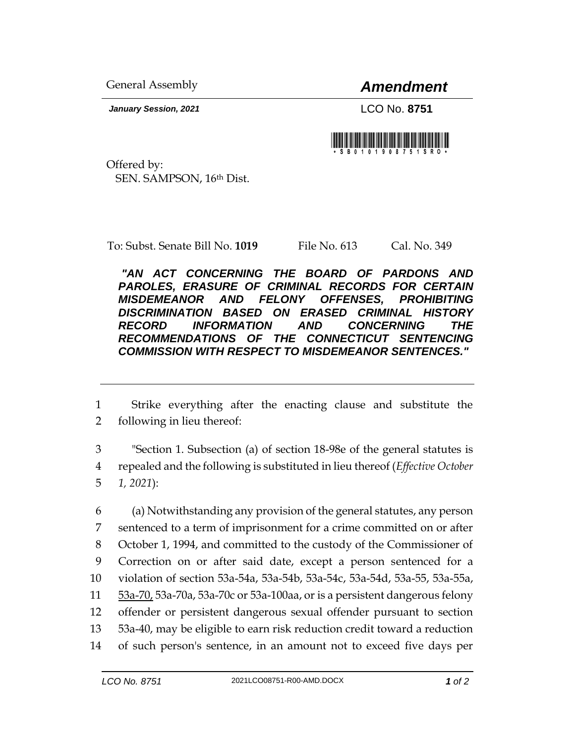General Assembly *Amendment*

*January Session, 2021* LCO No. **8751**



Offered by: SEN. SAMPSON, 16th Dist.

To: Subst. Senate Bill No. **1019** File No. 613 Cal. No. 349

*"AN ACT CONCERNING THE BOARD OF PARDONS AND PAROLES, ERASURE OF CRIMINAL RECORDS FOR CERTAIN MISDEMEANOR AND FELONY OFFENSES, PROHIBITING DISCRIMINATION BASED ON ERASED CRIMINAL HISTORY RECORD INFORMATION AND CONCERNING THE RECOMMENDATIONS OF THE CONNECTICUT SENTENCING COMMISSION WITH RESPECT TO MISDEMEANOR SENTENCES."* 

1 Strike everything after the enacting clause and substitute the 2 following in lieu thereof:

3 "Section 1. Subsection (a) of section 18-98e of the general statutes is 4 repealed and the following is substituted in lieu thereof (*Effective October*  5 *1, 2021*):

 (a) Notwithstanding any provision of the general statutes, any person sentenced to a term of imprisonment for a crime committed on or after October 1, 1994, and committed to the custody of the Commissioner of Correction on or after said date, except a person sentenced for a violation of section 53a-54a, 53a-54b, 53a-54c, 53a-54d, 53a-55, 53a-55a, 53a-70, 53a-70a, 53a-70c or 53a-100aa, or is a persistent dangerous felony offender or persistent dangerous sexual offender pursuant to section 53a-40, may be eligible to earn risk reduction credit toward a reduction of such person's sentence, in an amount not to exceed five days per